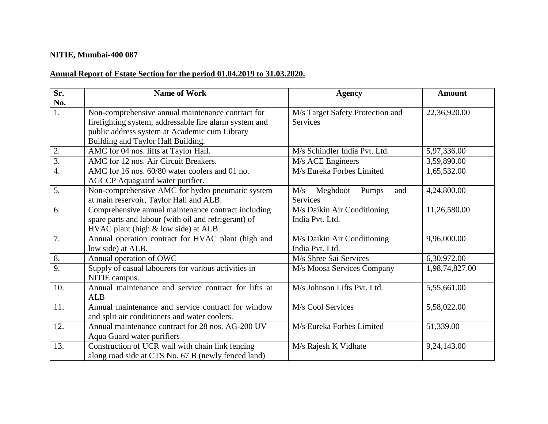## **NITIE, Mumbai-400 087**

## **Annual Report of Estate Section for the period 01.04.2019 to 31.03.2020.**

| Sr.              | <b>Name of Work</b>                                    | <b>Agency</b>                    | <b>Amount</b>  |
|------------------|--------------------------------------------------------|----------------------------------|----------------|
| No.              |                                                        |                                  |                |
| 1.               | Non-comprehensive annual maintenance contract for      | M/s Target Safety Protection and | 22,36,920.00   |
|                  | firefighting system, addressable fire alarm system and | <b>Services</b>                  |                |
|                  | public address system at Academic cum Library          |                                  |                |
|                  | Building and Taylor Hall Building.                     |                                  |                |
| 2.               | AMC for 04 nos. lifts at Taylor Hall.                  | M/s Schindler India Pvt. Ltd.    | 5,97,336.00    |
| $\overline{3}$ . | AMC for 12 nos. Air Circuit Breakers.                  | M/s ACE Engineers                | 3,59,890.00    |
| $\overline{4}$ . | AMC for 16 nos. 60/80 water coolers and 01 no.         | M/s Eureka Forbes Limited        | 1,65,532.00    |
|                  | AGCCP Aquaguard water purifier.                        |                                  |                |
| 5.               | Non-comprehensive AMC for hydro pneumatic system       | M/s<br>Meghdoot<br>Pumps<br>and  | 4,24,800.00    |
|                  | at main reservoir, Taylor Hall and ALB.                | Services                         |                |
| 6.               | Comprehensive annual maintenance contract including    | M/s Daikin Air Conditioning      | 11,26,580.00   |
|                  | spare parts and labour (with oil and refrigerant) of   | India Pvt. Ltd.                  |                |
|                  | HVAC plant (high & low side) at ALB.                   |                                  |                |
| 7.               | Annual operation contract for HVAC plant (high and     | M/s Daikin Air Conditioning      | 9,96,000.00    |
|                  | low side) at ALB.                                      | India Pvt. Ltd.                  |                |
| $\overline{8}$ . | Annual operation of OWC                                | M/s Shree Sai Services           | 6,30,972.00    |
| $\overline{9}$ . | Supply of casual labourers for various activities in   | M/s Moosa Services Company       | 1,98,74,827.00 |
|                  | NITIE campus.                                          |                                  |                |
| 10.              | Annual maintenance and service contract for lifts at   | M/s Johnson Lifts Pvt. Ltd.      | 5,55,661.00    |
|                  | <b>ALB</b>                                             |                                  |                |
| 11.              | Annual maintenance and service contract for window     | M/s Cool Services                | 5,58,022.00    |
|                  | and split air conditioners and water coolers.          |                                  |                |
| 12.              | Annual maintenance contract for 28 nos. AG-200 UV      | M/s Eureka Forbes Limited        | 51,339.00      |
|                  | Aqua Guard water purifiers                             |                                  |                |
| 13.              | Construction of UCR wall with chain link fencing       | M/s Rajesh K Vidhate             | 9,24,143.00    |
|                  | along road side at CTS No. 67 B (newly fenced land)    |                                  |                |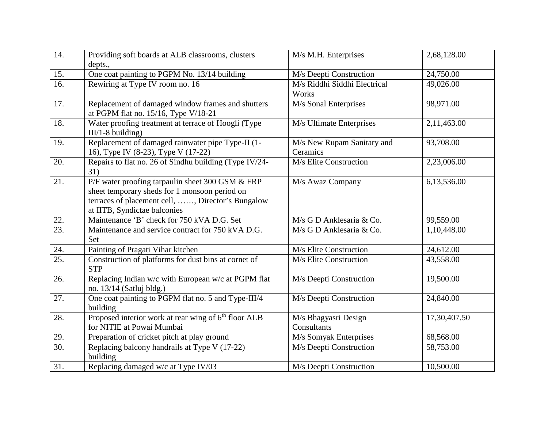| 14.               | Providing soft boards at ALB classrooms, clusters<br>depts.,                                                                                                                           | M/s M.H. Enterprises                   | 2,68,128.00              |
|-------------------|----------------------------------------------------------------------------------------------------------------------------------------------------------------------------------------|----------------------------------------|--------------------------|
| 15.               | One coat painting to PGPM No. 13/14 building                                                                                                                                           | M/s Deepti Construction                | 24,750.00                |
| $\overline{16}$ . | Rewiring at Type IV room no. 16                                                                                                                                                        | M/s Riddhi Siddhi Electrical<br>Works  | 49,026.00                |
| 17.               | Replacement of damaged window frames and shutters<br>at PGPM flat no. 15/16, Type V/18-21                                                                                              | M/s Sonal Enterprises                  | 98,971.00                |
| 18.               | Water proofing treatment at terrace of Hoogli (Type<br>$III/1-8$ building)                                                                                                             | M/s Ultimate Enterprises               | $2,11,46\overline{3.00}$ |
| 19.               | Replacement of damaged rainwater pipe Type-II (1-<br>16), Type IV (8-23), Type V (17-22)                                                                                               | M/s New Rupam Sanitary and<br>Ceramics | 93,708.00                |
| 20.               | Repairs to flat no. 26 of Sindhu building (Type IV/24-<br>31)                                                                                                                          | M/s Elite Construction                 | 2,23,006.00              |
| 21.               | P/F water proofing tarpaulin sheet 300 GSM & FRP<br>sheet temporary sheds for 1 monsoon period on<br>terraces of placement cell, , Director's Bungalow<br>at IITB, Syndictae balconies | M/s Awaz Company                       | 6,13,536.00              |
| 22.               | Maintenance 'B' check for 750 kVA D.G. Set                                                                                                                                             | M/s G D Anklesaria & Co.               | 99,559.00                |
| $\overline{23}$ . | Maintenance and service contract for 750 kVA D.G.<br>Set                                                                                                                               | M/s G D Anklesaria & Co.               | 1,10,448.00              |
| 24.               | Painting of Pragati Vihar kitchen                                                                                                                                                      | M/s Elite Construction                 | 24,612.00                |
| $\overline{25}$ . | Construction of platforms for dust bins at cornet of<br><b>STP</b>                                                                                                                     | M/s Elite Construction                 | 43,558.00                |
| 26.               | Replacing Indian w/c with European w/c at PGPM flat<br>no. 13/14 (Satluj bldg.)                                                                                                        | M/s Deepti Construction                | 19,500.00                |
| $\overline{27}$ . | One coat painting to PGPM flat no. 5 and Type-III/4<br>building                                                                                                                        | M/s Deepti Construction                | 24,840.00                |
| 28.               | Proposed interior work at rear wing of 6 <sup>th</sup> floor ALB<br>for NITIE at Powai Mumbai                                                                                          | M/s Bhagyasri Design<br>Consultants    | 17,30,407.50             |
| 29.               | Preparation of cricket pitch at play ground                                                                                                                                            | M/s Somyak Enterprises                 | 68,568.00                |
| $\overline{30}$ . | Replacing balcony handrails at Type V (17-22)<br>building                                                                                                                              | M/s Deepti Construction                | 58,753.00                |
| 31.               | Replacing damaged w/c at Type IV/03                                                                                                                                                    | M/s Deepti Construction                | 10,500.00                |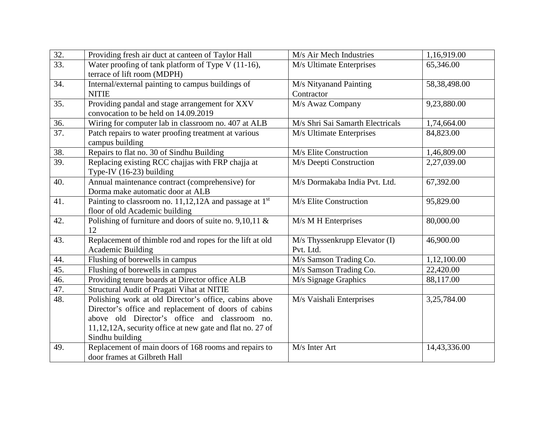| 32.               | Providing fresh air duct at canteen of Taylor Hall                 | M/s Air Mech Industries          | 1,16,919.00  |
|-------------------|--------------------------------------------------------------------|----------------------------------|--------------|
| $\overline{33}$ . | Water proofing of tank platform of Type V (11-16),                 | M/s Ultimate Enterprises         | 65,346.00    |
|                   | terrace of lift room (MDPH)                                        |                                  |              |
| 34.               | Internal/external painting to campus buildings of                  | M/s Nityanand Painting           | 58,38,498.00 |
|                   | <b>NITIE</b>                                                       | Contractor                       |              |
| 35.               | Providing pandal and stage arrangement for XXV                     | M/s Awaz Company                 | 9,23,880.00  |
|                   | convocation to be held on 14.09.2019                               |                                  |              |
| 36.               | Wiring for computer lab in classroom no. 407 at ALB                | M/s Shri Sai Samarth Electricals | 1,74,664.00  |
| $\overline{37}$ . | Patch repairs to water proofing treatment at various               | M/s Ultimate Enterprises         | 84,823.00    |
|                   | campus building                                                    |                                  |              |
| 38.               | Repairs to flat no. 30 of Sindhu Building                          | M/s Elite Construction           | 1,46,809.00  |
| 39.               | Replacing existing RCC chajjas with FRP chajja at                  | M/s Deepti Construction          | 2,27,039.00  |
|                   | Type-IV (16-23) building                                           |                                  |              |
| 40.               | Annual maintenance contract (comprehensive) for                    | M/s Dormakaba India Pvt. Ltd.    | 67,392.00    |
|                   | Dorma make automatic door at ALB                                   |                                  |              |
| 41.               | Painting to classroom no. 11,12,12A and passage at 1 <sup>st</sup> | M/s Elite Construction           | 95,829.00    |
|                   | floor of old Academic building                                     |                                  |              |
| 42.               | Polishing of furniture and doors of suite no. $9,10,11$ &          | M/s M H Enterprises              | 80,000.00    |
|                   | 12                                                                 |                                  |              |
| 43.               | Replacement of thimble rod and ropes for the lift at old           | M/s Thyssenkrupp Elevator (I)    | 46,900.00    |
|                   | <b>Academic Building</b>                                           | Pvt. Ltd.                        |              |
| 44.               | Flushing of borewells in campus                                    | M/s Samson Trading Co.           | 1,12,100.00  |
| 45.               | Flushing of borewells in campus                                    | M/s Samson Trading Co.           | 22,420.00    |
| 46.               | Providing tenure boards at Director office ALB                     | M/s Signage Graphics             | 88,117.00    |
| 47.               | Structural Audit of Pragati Vihat at NITIE                         |                                  |              |
| 48.               | Polishing work at old Director's office, cabins above              | M/s Vaishali Enterprises         | 3,25,784.00  |
|                   | Director's office and replacement of doors of cabins               |                                  |              |
|                   | above old Director's office and classroom no.                      |                                  |              |
|                   | 11,12,12A, security office at new gate and flat no. 27 of          |                                  |              |
|                   | Sindhu building                                                    |                                  |              |
| 49.               | Replacement of main doors of 168 rooms and repairs to              | M/s Inter Art                    | 14,43,336.00 |
|                   | door frames at Gilbreth Hall                                       |                                  |              |